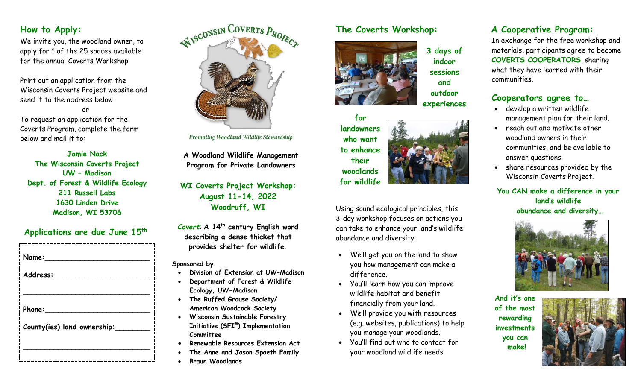## **How to Apply:**

We invite you, the woodland owner, to apply for 1 of the 25 spaces available for the annual Coverts Workshop.

Print out an application from the Wisconsin Coverts Project website and send it to the address below.

or To request an application for the Coverts Program, complete the form below and mail it to:

**Jamie Nack The Wisconsin Coverts Project UW – Madison Dept. of Forest & Wildlife Ecology 211 Russell Labs 1630 Linden Drive Madison, WI 53706**

## **Applications are due June 15 th**

| Name:                                 |
|---------------------------------------|
| Address:                              |
|                                       |
| Phone:<br>County(ies) land ownership: |
|                                       |
|                                       |



Promoting Woodland Wildlife Stewardship

**A Woodland Wildlife Management Program for Private Landowners**

**WI Coverts Project Workshop: August 11-14, 2022 Woodruff, WI**

*Covert:* **A 14th century English word describing a dense thicket that provides shelter for wildlife.**

#### **Sponsored by:**

- **Division of Extension at UW–Madison**
- **Department of Forest & Wildlife Ecology, UW-Madison**
- **The Ruffed Grouse Society/ American Woodcock Society**
- **Wisconsin Sustainable Forestry Initiative (SFI® ) Implementation Committee**
- **Renewable Resources Extension Act**
- **The Anne and Jason Spaeth Family**
- **Braun Woodlands**

## **The Coverts Workshop:**

**indoor sessions and outdoor** 



**for landowners who want to enhance their woodlands for wildlife**

Using sound ecological principles, this 3-day workshop focuses on actions you can take to enhance your land's wildlife abundance and diversity.

- We'll get you on the land to show you how management can make a difference.
- You'll learn how you can improve wildlife habitat and benefit financially from your land.
- We'll provide you with resources (e.g. websites, publications) to help you manage your woodlands.
- You'll find out who to contact for your woodland wildlife needs.

## **A Cooperative Program:**

In exchange for the free workshop and materials, participants agree to become **COVERTS COOPERATORS**, sharing what they have learned with their communities.

## **Cooperators agree to…**

- develop a written wildlife management plan for their land.
- reach out and motivate other woodland owners in their communities, and be available to answer questions.
- share resources provided by the Wisconsin Coverts Project.

**You CAN make a difference in your land's wildlife abundance and diversity…**



**And it's one of the most rewarding investments you can make!**